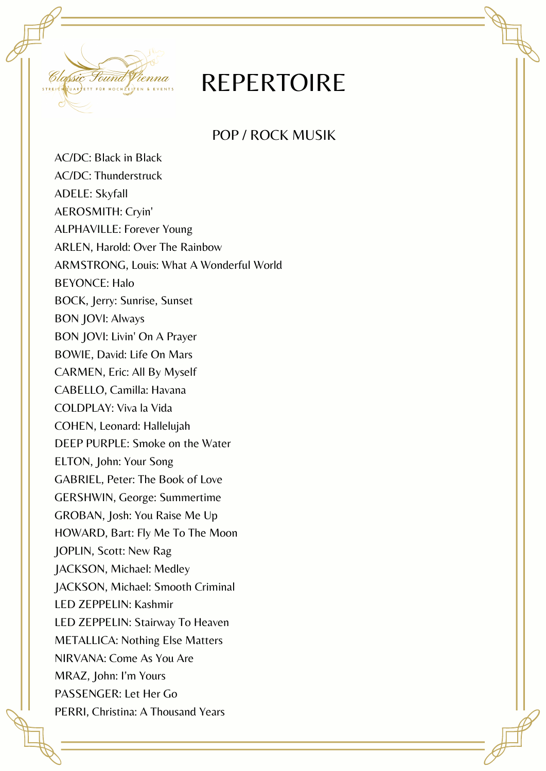

## REPERTOIRE

POP / ROCK MUSIK

AC/DC: Black in Black AC/DC: Thunderstruck ADELE: Skyfall AEROSMITH: Cryin' ALPHAVILLE: Forever Young ARLEN, Harold: Over The Rainbow ARMSTRONG, Louis: What A Wonderful World BEYONCE: Halo BOCK, Jerry: Sunrise, Sunset BON JOVI: Always BON JOVI: Livin' On A Prayer BOWIE, David: Life On Mars CARMEN, Eric: All By Myself CABELLO, Camilla: Havana COLDPLAY: Viva la Vida COHEN, Leonard: Hallelujah DEEP PURPLE: Smoke on the Water ELTON, John: Your Song GABRIEL, Peter: The Book of Love GERSHWIN, George: Summertime GROBAN, Josh: You Raise Me Up HOWARD, Bart: Fly Me To The Moon JOPLIN, Scott: New Rag JACKSON, Michael: Medley JACKSON, Michael: Smooth Criminal LED ZEPPELIN: Kashmir LED ZEPPELIN: Stairway To Heaven METALLICA: Nothing Else Matters NIRVANA: Come As You Are MRAZ, John: I'm Yours PASSENGER: Let Her Go PERRI, Christina: A Thousand Years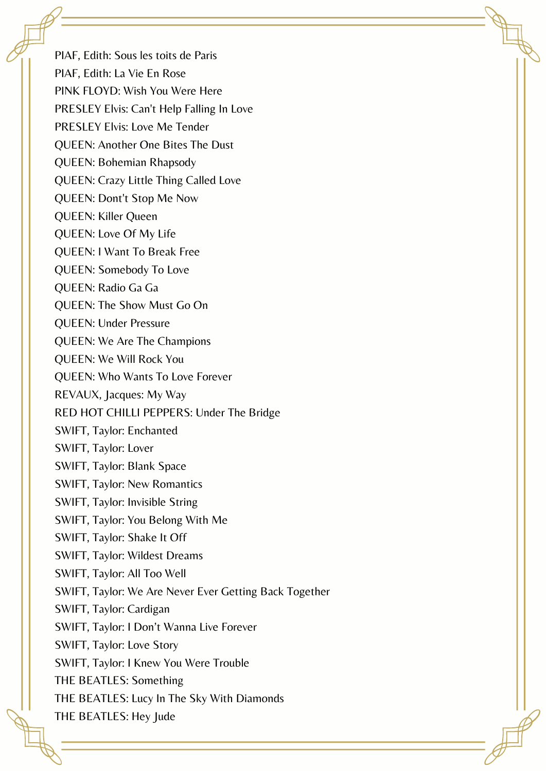PIAF, Edith: Sous les toits de Paris PIAF, Edith: La Vie En Rose PINK FLOYD: Wish You Were Here PRESLEY Elvis: Can't Help Falling In Love PRESLEY Elvis: Love Me Tender QUEEN: Another One Bites The Dust QUEEN: Bohemian Rhapsody QUEEN: Crazy Little Thing Called Love QUEEN: Dont't Stop Me Now QUEEN: Killer Queen QUEEN: Love Of My Life QUEEN: I Want To Break Free QUEEN: Somebody To Love QUEEN: Radio Ga Ga QUEEN: The Show Must Go On QUEEN: Under Pressure QUEEN: We Are The Champions QUEEN: We Will Rock You QUEEN: Who Wants To Love Forever REVAUX, Jacques: My Way RED HOT CHILLI PEPPERS: Under The Bridge SWIFT, Taylor: Enchanted SWIFT, Taylor: Lover SWIFT, Taylor: Blank Space SWIFT, Taylor: New Romantics SWIFT, Taylor: Invisible String SWIFT, Taylor: You Belong With Me SWIFT, Taylor: Shake It Off SWIFT, Taylor: Wildest Dreams SWIFT, Taylor: All Too Well SWIFT, Taylor: We Are Never Ever Getting Back Together SWIFT, Taylor: Cardigan SWIFT, Taylor: I Don't Wanna Live Forever SWIFT, Taylor: Love Story SWIFT, Taylor: I Knew You Were Trouble THE BEATLES: Something THE BEATLES: Lucy In The Sky With Diamonds THE BEATLES: Hey Jude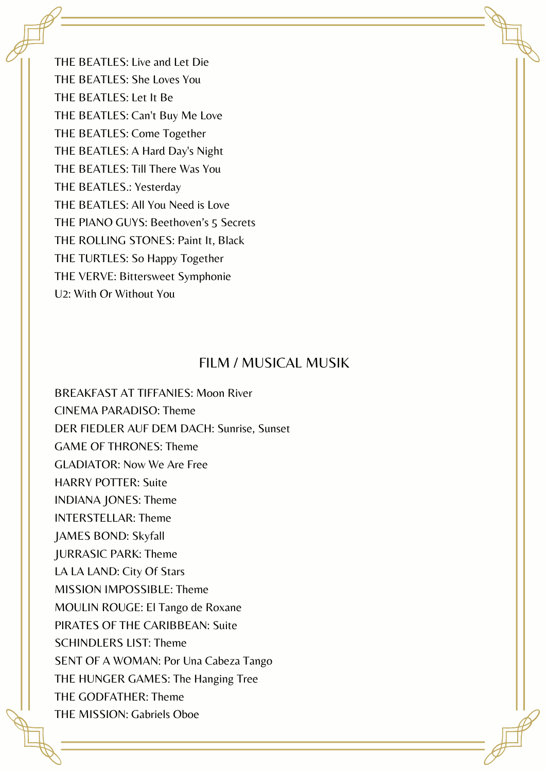THE BEATLES: Live and Let Die THE BEATLES: She Loves You THE BEATLES: Let It Be THE BEATLES: Can't Buy Me Love THE BEATLES: Come Together THE BEATLES: A Hard Day's Night THE BEATLES: Till There Was You THE BEATLES.: Yesterday THE BEATLES: All You Need is Love THE PIANO GUYS: Beethoven's 5 Secrets THE ROLLING STONES: Paint It, Black THE TURTLES: So Happy Together THE VERVE: Bittersweet Symphonie U2: With Or Without You

## FILM / MUSICAL MUSIK

BREAKFAST AT TIFFANIES: Moon River CINEMA PARADISO: Theme DER FIEDLER AUF DEM DACH: Sunrise, Sunset GAME OF THRONES: Theme GLADIATOR: Now We Are Free HARRY POTTER: Suite INDIANA JONES: Theme INTERSTELLAR: Theme JAMES BOND: Skyfall JURRASIC PARK: Theme LA LA LAND: City Of Stars MISSION IMPOSSIBLE: Theme MOULIN ROUGE: El Tango de Roxane PIRATES OF THE CARIBBEAN: Suite SCHINDLERS LIST: Theme SENT OF A WOMAN: Por Una Cabeza Tango THE HUNGER GAMES: The Hanging Tree THE GODFATHER: Theme THE MISSION: Gabriels Oboe